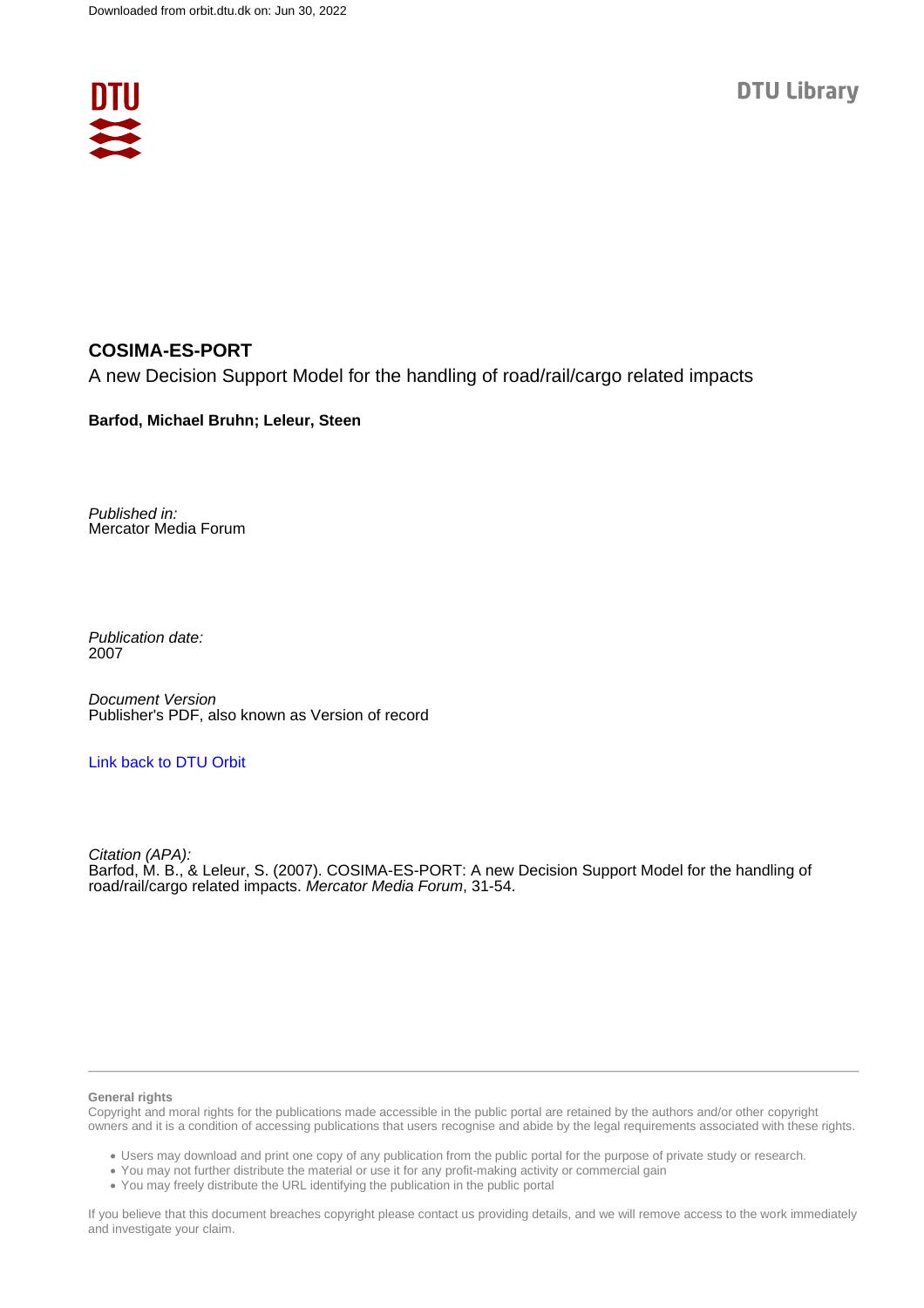

## **COSIMA-ES-PORT**

A new Decision Support Model for the handling of road/rail/cargo related impacts

**Barfod, Michael Bruhn; Leleur, Steen**

Published in: Mercator Media Forum

Publication date: 2007

Document Version Publisher's PDF, also known as Version of record

### [Link back to DTU Orbit](https://orbit.dtu.dk/en/publications/c4e65bb1-692d-49c6-889a-00a24b77ddc2)

Citation (APA): Barfod, M. B., & Leleur, S. (2007). COSIMA-ES-PORT: A new Decision Support Model for the handling of road/rail/cargo related impacts. Mercator Media Forum, 31-54.

#### **General rights**

Copyright and moral rights for the publications made accessible in the public portal are retained by the authors and/or other copyright owners and it is a condition of accessing publications that users recognise and abide by the legal requirements associated with these rights.

Users may download and print one copy of any publication from the public portal for the purpose of private study or research.

- You may not further distribute the material or use it for any profit-making activity or commercial gain
- You may freely distribute the URL identifying the publication in the public portal

If you believe that this document breaches copyright please contact us providing details, and we will remove access to the work immediately and investigate your claim.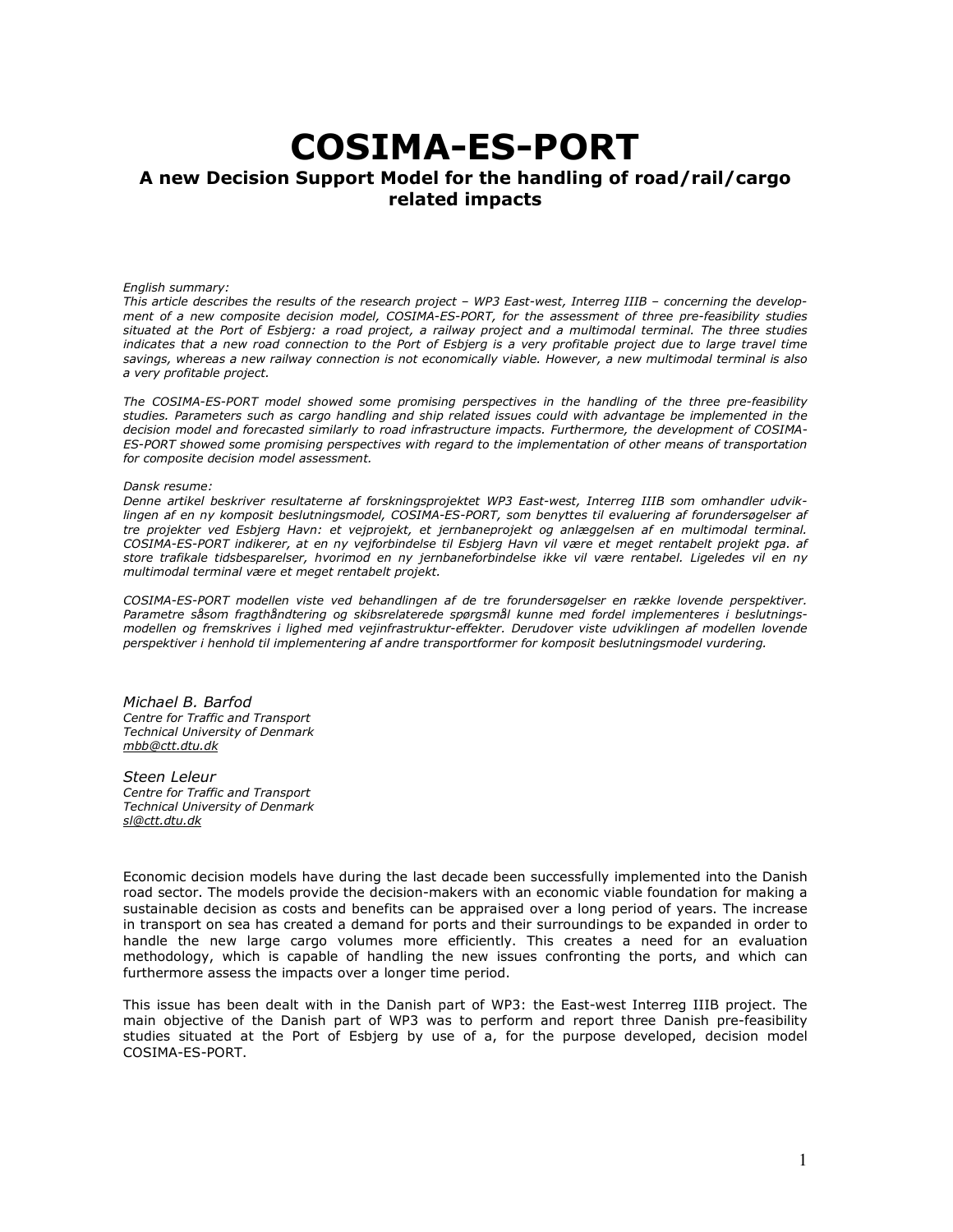# COSIMA-ES-PORT

## A new Decision Support Model for the handling of road/rail/cargo related impacts

#### English summary:

This article describes the results of the research project – WP3 East-west, Interreg IIIB – concerning the development of a new composite decision model, COSIMA-ES-PORT, for the assessment of three pre-feasibility studies situated at the Port of Esbjerg: a road project, a railway project and a multimodal terminal. The three studies indicates that a new road connection to the Port of Esbjerg is a very profitable project due to large travel time savings, whereas a new railway connection is not economically viable. However, a new multimodal terminal is also a very profitable project.

The COSIMA-ES-PORT model showed some promising perspectives in the handling of the three pre-feasibility studies. Parameters such as cargo handling and ship related issues could with advantage be implemented in the decision model and forecasted similarly to road infrastructure impacts. Furthermore, the development of COSIMA-ES-PORT showed some promising perspectives with regard to the implementation of other means of transportation for composite decision model assessment.

#### Dansk resume:

Denne artikel beskriver resultaterne af forskningsprojektet WP3 East-west, Interreg IIIB som omhandler udviklingen af en ny komposit beslutningsmodel, COSIMA-ES-PORT, som benyttes til evaluering af forundersøgelser af tre projekter ved Esbjerg Havn: et vejprojekt, et jernbaneprojekt og anlæggelsen af en multimodal terminal. COSIMA-ES-PORT indikerer, at en ny vejforbindelse til Esbjerg Havn vil være et meget rentabelt projekt pga. af store trafikale tidsbesparelser, hvorimod en ny jernbaneforbindelse ikke vil være rentabel. Ligeledes vil en ny multimodal terminal være et meget rentabelt projekt.

COSIMA-ES-PORT modellen viste ved behandlingen af de tre forundersøgelser en række lovende perspektiver. Parametre såsom fragthåndtering og skibsrelaterede spørgsmål kunne med fordel implementeres i beslutningsmodellen og fremskrives i lighed med vejinfrastruktur-effekter. Derudover viste udviklingen af modellen lovende perspektiver i henhold til implementering af andre transportformer for komposit beslutningsmodel vurdering.

Michael B. Barfod Centre for Traffic and Transport Technical University of Denmark mbb@ctt.dtu.dk

Steen Leleur Centre for Traffic and Transport Technical University of Denmark sl@ctt.dtu.dk

Economic decision models have during the last decade been successfully implemented into the Danish road sector. The models provide the decision-makers with an economic viable foundation for making a sustainable decision as costs and benefits can be appraised over a long period of years. The increase in transport on sea has created a demand for ports and their surroundings to be expanded in order to handle the new large cargo volumes more efficiently. This creates a need for an evaluation methodology, which is capable of handling the new issues confronting the ports, and which can furthermore assess the impacts over a longer time period.

This issue has been dealt with in the Danish part of WP3: the East-west Interreg IIIB project. The main objective of the Danish part of WP3 was to perform and report three Danish pre-feasibility studies situated at the Port of Esbjerg by use of a, for the purpose developed, decision model COSIMA-ES-PORT.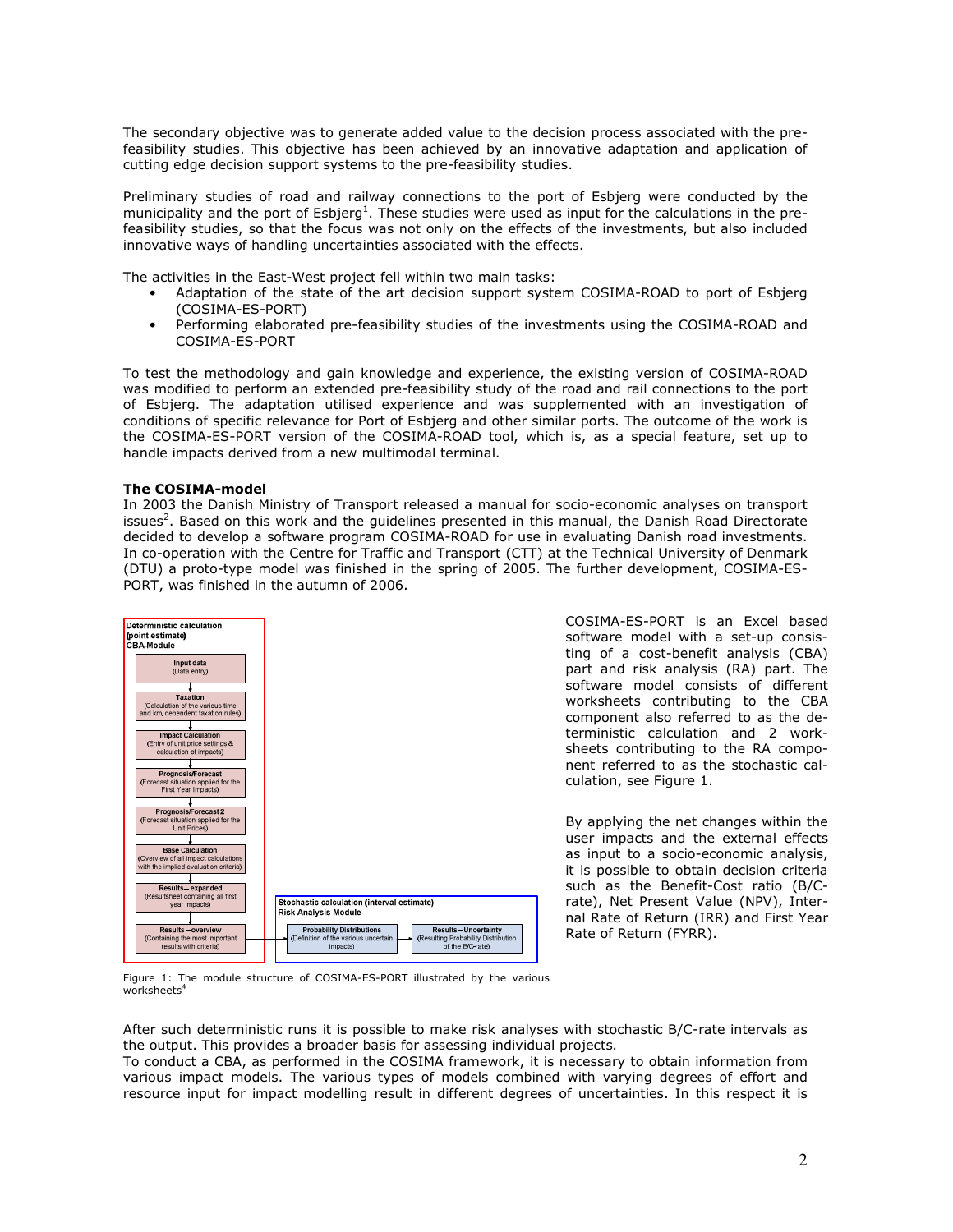The secondary objective was to generate added value to the decision process associated with the prefeasibility studies. This objective has been achieved by an innovative adaptation and application of cutting edge decision support systems to the pre-feasibility studies.

Preliminary studies of road and railway connections to the port of Esbjerg were conducted by the municipality and the port of Esbjerg<sup>1</sup>. These studies were used as input for the calculations in the prefeasibility studies, so that the focus was not only on the effects of the investments, but also included innovative ways of handling uncertainties associated with the effects.

The activities in the East-West project fell within two main tasks:

- Adaptation of the state of the art decision support system COSIMA-ROAD to port of Esbjerg (COSIMA-ES-PORT)
- Performing elaborated pre-feasibility studies of the investments using the COSIMA-ROAD and COSIMA-ES-PORT

To test the methodology and gain knowledge and experience, the existing version of COSIMA-ROAD was modified to perform an extended pre-feasibility study of the road and rail connections to the port of Esbjerg. The adaptation utilised experience and was supplemented with an investigation of conditions of specific relevance for Port of Esbjerg and other similar ports. The outcome of the work is the COSIMA-ES-PORT version of the COSIMA-ROAD tool, which is, as a special feature, set up to handle impacts derived from a new multimodal terminal.

#### The COSIMA-model

In 2003 the Danish Ministry of Transport released a manual for socio-economic analyses on transport issues<sup>2</sup>. Based on this work and the guidelines presented in this manual, the Danish Road Directorate decided to develop a software program COSIMA-ROAD for use in evaluating Danish road investments. In co-operation with the Centre for Traffic and Transport (CTT) at the Technical University of Denmark (DTU) a proto-type model was finished in the spring of 2005. The further development, COSIMA-ES-PORT, was finished in the autumn of 2006.



COSIMA-ES-PORT is an Excel based software model with a set-up consisting of a cost-benefit analysis (CBA) part and risk analysis (RA) part. The software model consists of different worksheets contributing to the CBA component also referred to as the deterministic calculation and 2 worksheets contributing to the RA component referred to as the stochastic calculation, see Figure 1.

By applying the net changes within the user impacts and the external effects as input to a socio-economic analysis, it is possible to obtain decision criteria such as the Benefit-Cost ratio (B/Crate), Net Present Value (NPV), Internal Rate of Return (IRR) and First Year Rate of Return (FYRR).

Figure 1: The module structure of COSIMA-ES-PORT illustrated by the various  $work$ sheets<sup>4</sup>

After such deterministic runs it is possible to make risk analyses with stochastic B/C-rate intervals as the output. This provides a broader basis for assessing individual projects.

To conduct a CBA, as performed in the COSIMA framework, it is necessary to obtain information from various impact models. The various types of models combined with varying degrees of effort and resource input for impact modelling result in different degrees of uncertainties. In this respect it is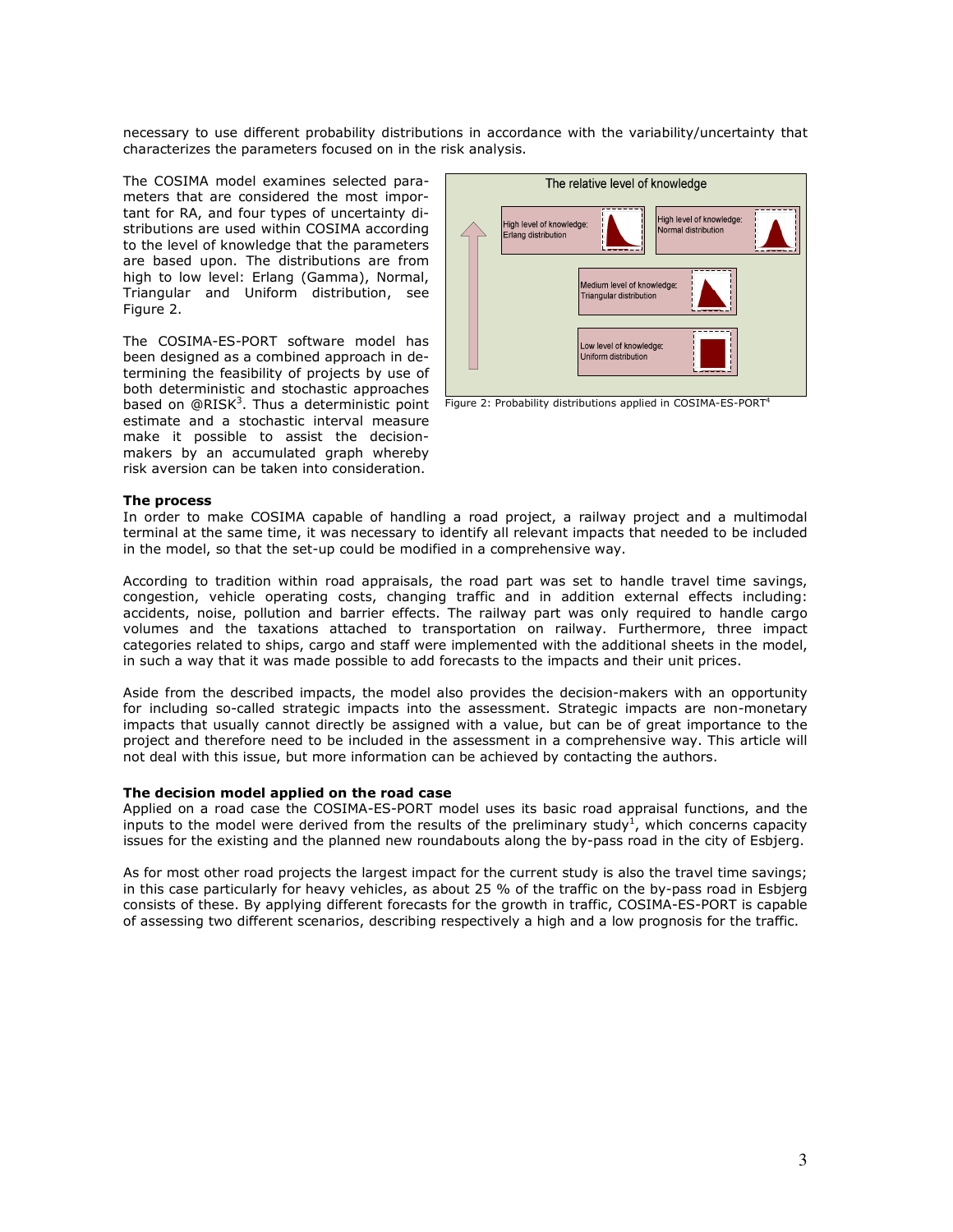necessary to use different probability distributions in accordance with the variability/uncertainty that characterizes the parameters focused on in the risk analysis.

The COSIMA model examines selected parameters that are considered the most important for RA, and four types of uncertainty distributions are used within COSIMA according to the level of knowledge that the parameters are based upon. The distributions are from high to low level: Erlang (Gamma), Normal, Triangular and Uniform distribution, see Figure 2.

The COSIMA-ES-PORT software model has been designed as a combined approach in determining the feasibility of projects by use of both deterministic and stochastic approaches based on @RISK<sup>3</sup>. Thus a deterministic point estimate and a stochastic interval measure make it possible to assist the decisionmakers by an accumulated graph whereby risk aversion can be taken into consideration.



Figure 2: Probability distributions applied in COSIMA-ES-PORT<sup>4</sup>

#### The process

In order to make COSIMA capable of handling a road project, a railway project and a multimodal terminal at the same time, it was necessary to identify all relevant impacts that needed to be included in the model, so that the set-up could be modified in a comprehensive way.

According to tradition within road appraisals, the road part was set to handle travel time savings, congestion, vehicle operating costs, changing traffic and in addition external effects including: accidents, noise, pollution and barrier effects. The railway part was only required to handle cargo volumes and the taxations attached to transportation on railway. Furthermore, three impact categories related to ships, cargo and staff were implemented with the additional sheets in the model, in such a way that it was made possible to add forecasts to the impacts and their unit prices.

Aside from the described impacts, the model also provides the decision-makers with an opportunity for including so-called strategic impacts into the assessment. Strategic impacts are non-monetary impacts that usually cannot directly be assigned with a value, but can be of great importance to the project and therefore need to be included in the assessment in a comprehensive way. This article will not deal with this issue, but more information can be achieved by contacting the authors.

#### The decision model applied on the road case

Applied on a road case the COSIMA-ES-PORT model uses its basic road appraisal functions, and the inputs to the model were derived from the results of the preliminary study<sup>1</sup>, which concerns capacity issues for the existing and the planned new roundabouts along the by-pass road in the city of Esbjerg.

As for most other road projects the largest impact for the current study is also the travel time savings; in this case particularly for heavy vehicles, as about 25 % of the traffic on the by-pass road in Esbjerg consists of these. By applying different forecasts for the growth in traffic, COSIMA-ES-PORT is capable of assessing two different scenarios, describing respectively a high and a low prognosis for the traffic.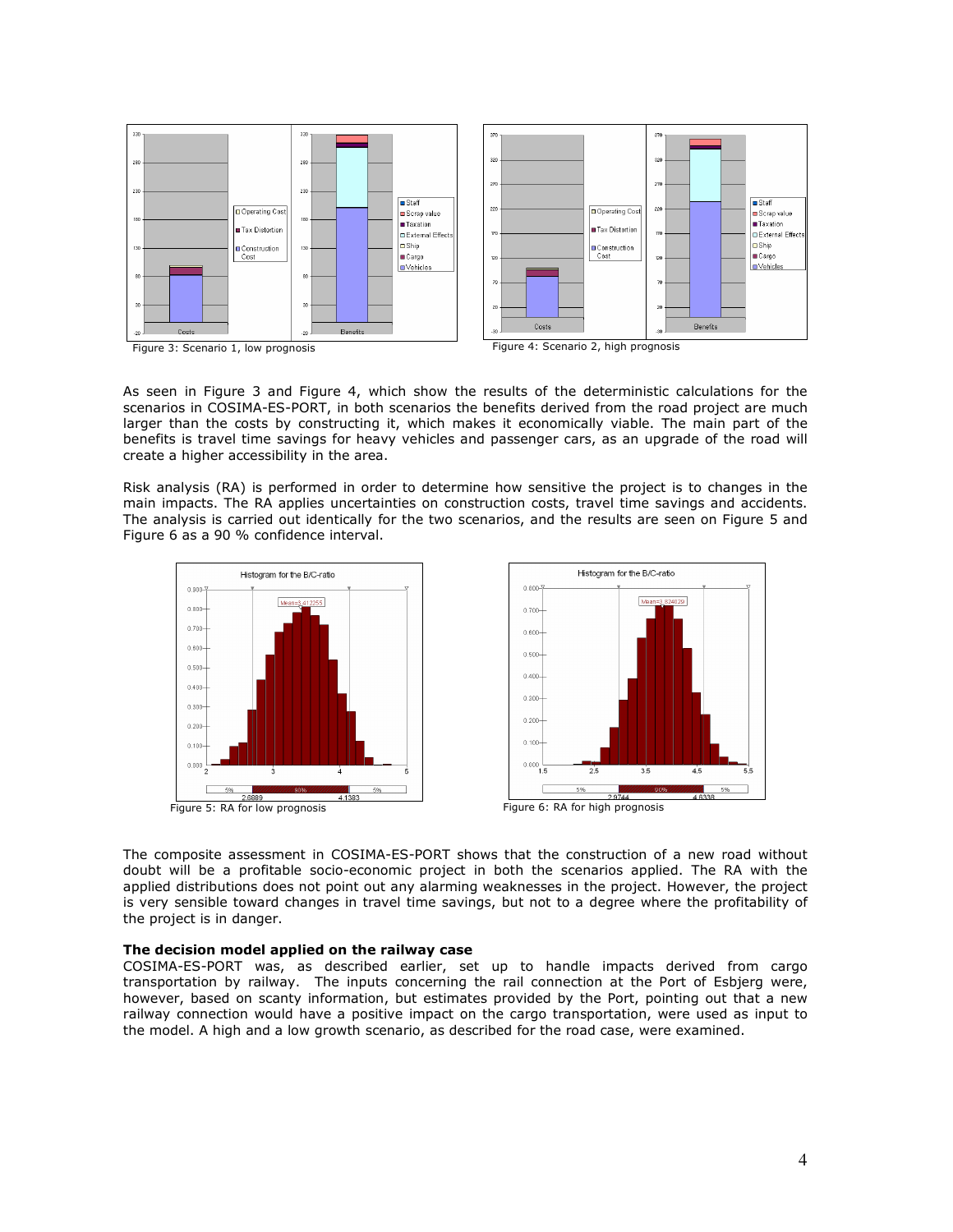

As seen in Figure 3 and Figure 4, which show the results of the deterministic calculations for the scenarios in COSIMA-ES-PORT, in both scenarios the benefits derived from the road project are much larger than the costs by constructing it, which makes it economically viable. The main part of the benefits is travel time savings for heavy vehicles and passenger cars, as an upgrade of the road will create a higher accessibility in the area.

Risk analysis (RA) is performed in order to determine how sensitive the project is to changes in the main impacts. The RA applies uncertainties on construction costs, travel time savings and accidents. The analysis is carried out identically for the two scenarios, and the results are seen on Figure 5 and Figure 6 as a 90 % confidence interval.



The composite assessment in COSIMA-ES-PORT shows that the construction of a new road without doubt will be a profitable socio-economic project in both the scenarios applied. The RA with the applied distributions does not point out any alarming weaknesses in the project. However, the project is very sensible toward changes in travel time savings, but not to a degree where the profitability of the project is in danger.

#### The decision model applied on the railway case

COSIMA-ES-PORT was, as described earlier, set up to handle impacts derived from cargo transportation by railway. The inputs concerning the rail connection at the Port of Esbjerg were, however, based on scanty information, but estimates provided by the Port, pointing out that a new railway connection would have a positive impact on the cargo transportation, were used as input to the model. A high and a low growth scenario, as described for the road case, were examined.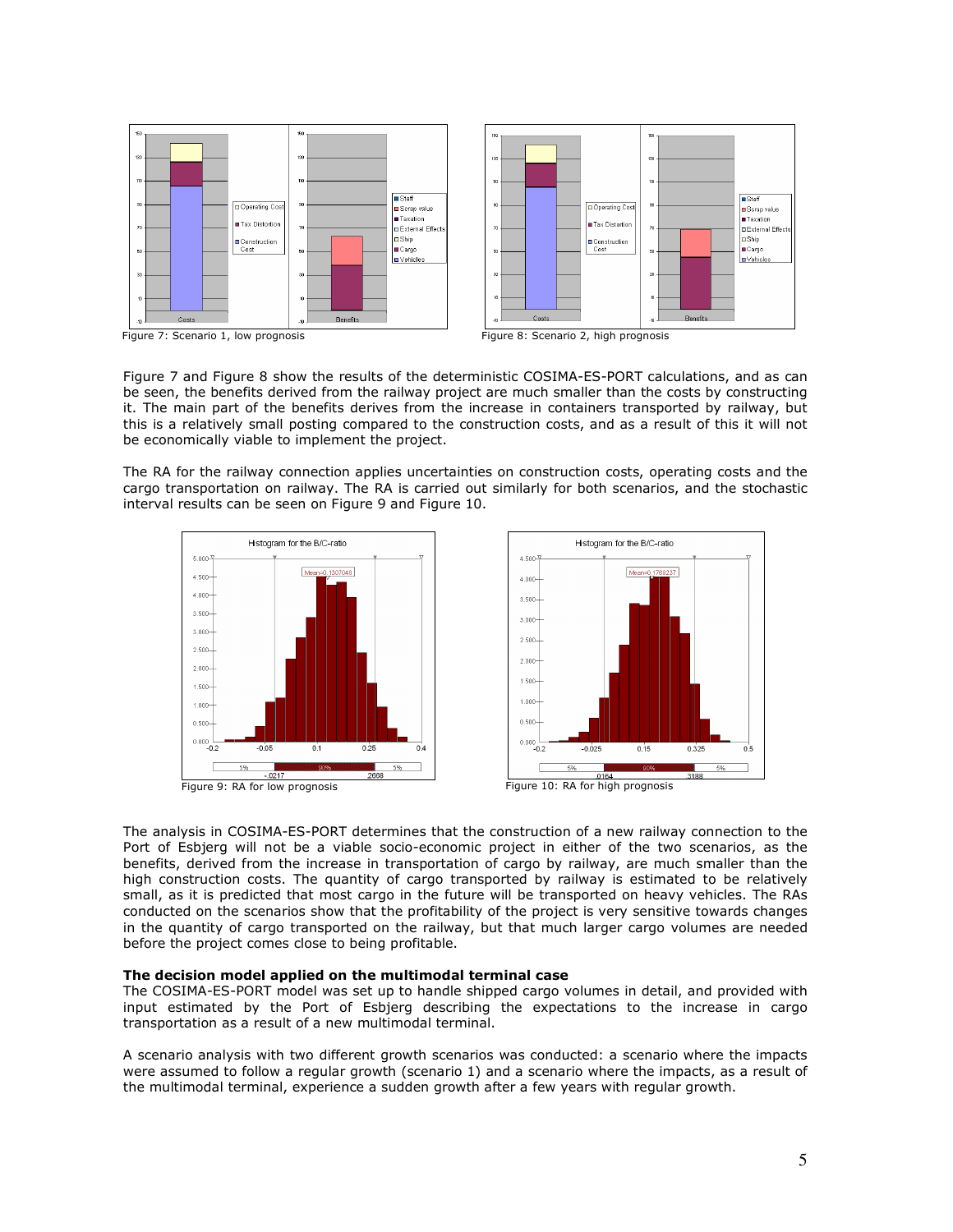



Figure 7: Scenario 1, low prognosis Figure 8: Scenario 2, high prognosis

Figure 7 and Figure 8 show the results of the deterministic COSIMA-ES-PORT calculations, and as can be seen, the benefits derived from the railway project are much smaller than the costs by constructing it. The main part of the benefits derives from the increase in containers transported by railway, but this is a relatively small posting compared to the construction costs, and as a result of this it will not be economically viable to implement the project.

The RA for the railway connection applies uncertainties on construction costs, operating costs and the cargo transportation on railway. The RA is carried out similarly for both scenarios, and the stochastic interval results can be seen on Figure 9 and Figure 10.





The analysis in COSIMA-ES-PORT determines that the construction of a new railway connection to the Port of Esbjerg will not be a viable socio-economic project in either of the two scenarios, as the benefits, derived from the increase in transportation of cargo by railway, are much smaller than the high construction costs. The quantity of cargo transported by railway is estimated to be relatively small, as it is predicted that most cargo in the future will be transported on heavy vehicles. The RAs conducted on the scenarios show that the profitability of the project is very sensitive towards changes in the quantity of cargo transported on the railway, but that much larger cargo volumes are needed before the project comes close to being profitable.

#### The decision model applied on the multimodal terminal case

The COSIMA-ES-PORT model was set up to handle shipped cargo volumes in detail, and provided with input estimated by the Port of Esbjerg describing the expectations to the increase in cargo transportation as a result of a new multimodal terminal.

A scenario analysis with two different growth scenarios was conducted: a scenario where the impacts were assumed to follow a regular growth (scenario 1) and a scenario where the impacts, as a result of the multimodal terminal, experience a sudden growth after a few years with regular growth.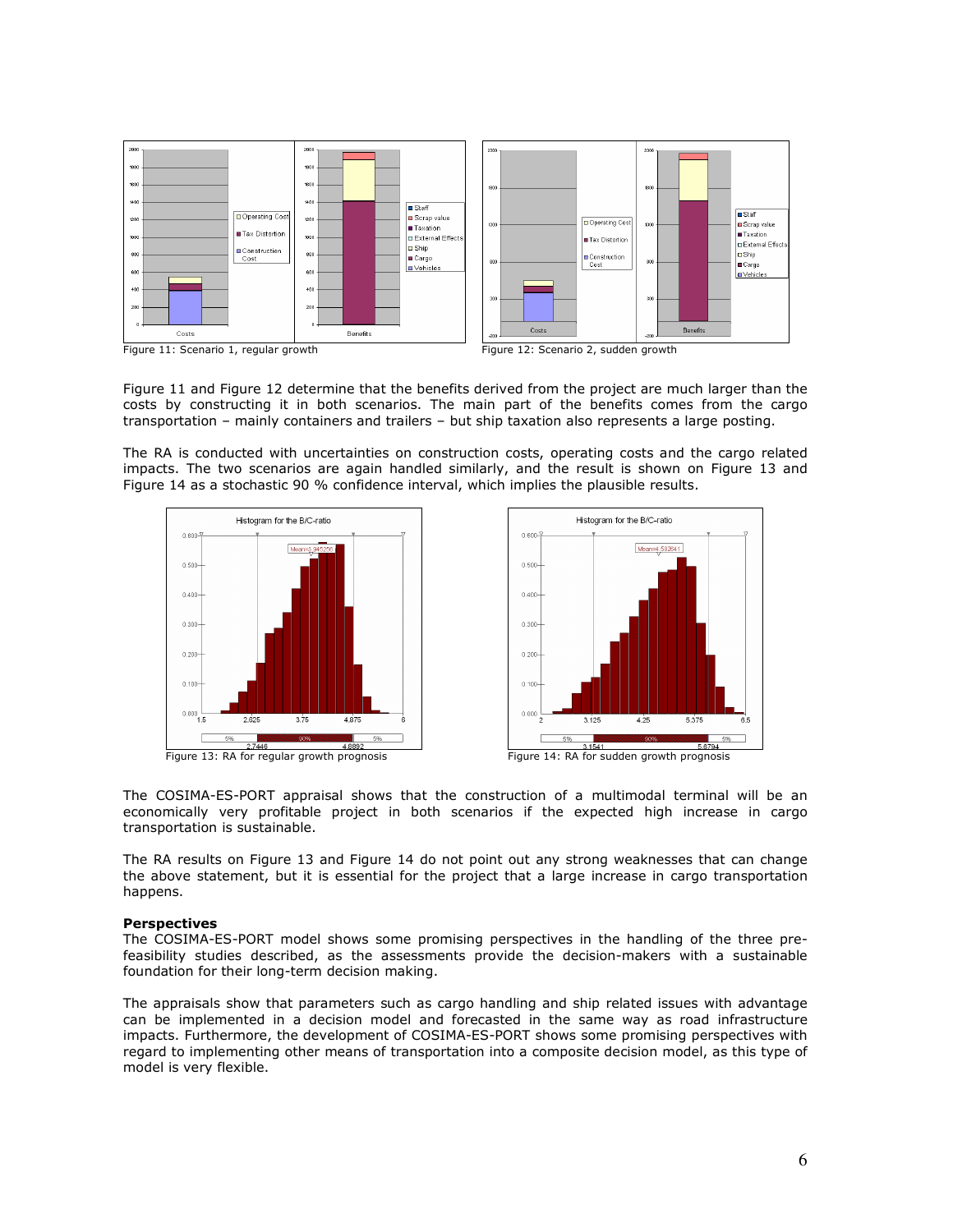

Figure 11 and Figure 12 determine that the benefits derived from the project are much larger than the costs by constructing it in both scenarios. The main part of the benefits comes from the cargo transportation – mainly containers and trailers – but ship taxation also represents a large posting.

The RA is conducted with uncertainties on construction costs, operating costs and the cargo related impacts. The two scenarios are again handled similarly, and the result is shown on Figure 13 and Figure 14 as a stochastic 90 % confidence interval, which implies the plausible results.







Figure 13: RA for regular growth prognosis Figure 14: RA for sudden growth prognosis

The COSIMA-ES-PORT appraisal shows that the construction of a multimodal terminal will be an economically very profitable project in both scenarios if the expected high increase in cargo transportation is sustainable.

The RA results on Figure 13 and Figure 14 do not point out any strong weaknesses that can change the above statement, but it is essential for the project that a large increase in cargo transportation happens.

#### **Perspectives**

The COSIMA-ES-PORT model shows some promising perspectives in the handling of the three prefeasibility studies described, as the assessments provide the decision-makers with a sustainable foundation for their long-term decision making.

The appraisals show that parameters such as cargo handling and ship related issues with advantage can be implemented in a decision model and forecasted in the same way as road infrastructure impacts. Furthermore, the development of COSIMA-ES-PORT shows some promising perspectives with regard to implementing other means of transportation into a composite decision model, as this type of model is very flexible.